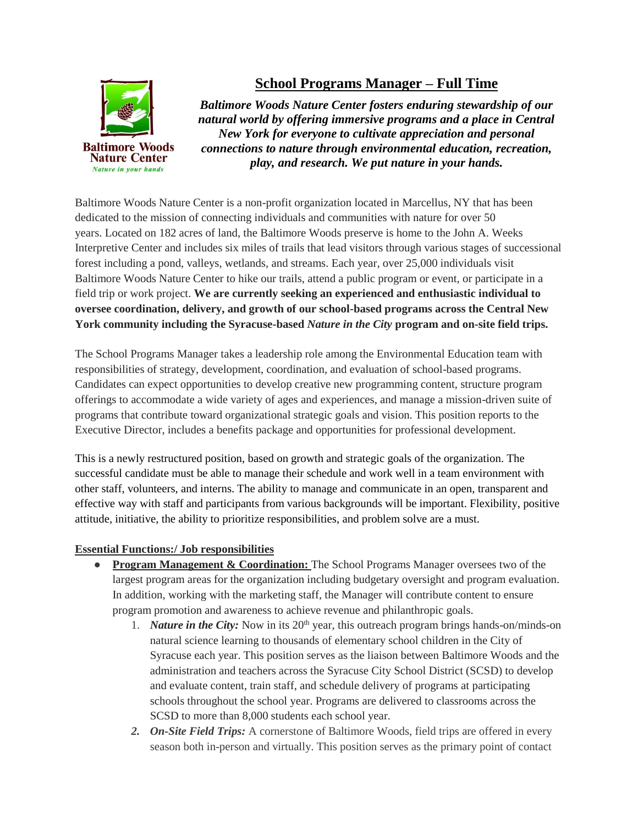

## **School Programs Manager – Full Time**

*Baltimore Woods Nature Center fosters enduring stewardship of our natural world by offering immersive programs and a place in Central New York for everyone to cultivate appreciation and personal connections to nature through environmental education, recreation, play, and research. We put nature in your hands.*

Baltimore Woods Nature Center is a non-profit organization located in Marcellus, NY that has been dedicated to the mission of connecting individuals and communities with nature for over 50 years. Located on 182 acres of land, the Baltimore Woods preserve is home to the John A. Weeks Interpretive Center and includes six miles of trails that lead visitors through various stages of successional forest including a pond, valleys, wetlands, and streams. Each year, over 25,000 individuals visit Baltimore Woods Nature Center to hike our trails, attend a public program or event, or participate in a field trip or work project. **We are currently seeking an experienced and enthusiastic individual to oversee coordination, delivery, and growth of our school-based programs across the Central New York community including the Syracuse-based** *Nature in the City* **program and on-site field trips.** 

The School Programs Manager takes a leadership role among the Environmental Education team with responsibilities of strategy, development, coordination, and evaluation of school-based programs. Candidates can expect opportunities to develop creative new programming content, structure program offerings to accommodate a wide variety of ages and experiences, and manage a mission-driven suite of programs that contribute toward organizational strategic goals and vision. This position reports to the Executive Director, includes a benefits package and opportunities for professional development.

This is a newly restructured position, based on growth and strategic goals of the organization. The successful candidate must be able to manage their schedule and work well in a team environment with other staff, volunteers, and interns. The ability to manage and communicate in an open, transparent and effective way with staff and participants from various backgrounds will be important. Flexibility, positive attitude, initiative, the ability to prioritize responsibilities, and problem solve are a must.

## **Essential Functions:/ Job responsibilities**

- **Program Management & Coordination:** The School Programs Manager oversees two of the largest program areas for the organization including budgetary oversight and program evaluation. In addition, working with the marketing staff, the Manager will contribute content to ensure program promotion and awareness to achieve revenue and philanthropic goals.
	- 1. *Nature in the City:* Now in its  $20<sup>th</sup>$  year, this outreach program brings hands-on/minds-on natural science learning to thousands of elementary school children in the City of Syracuse each year. This position serves as the liaison between Baltimore Woods and the administration and teachers across the Syracuse City School District (SCSD) to develop and evaluate content, train staff, and schedule delivery of programs at participating schools throughout the school year. Programs are delivered to classrooms across the SCSD to more than 8,000 students each school year.
	- *2. On-Site Field Trips:* A cornerstone of Baltimore Woods, field trips are offered in every season both in-person and virtually. This position serves as the primary point of contact